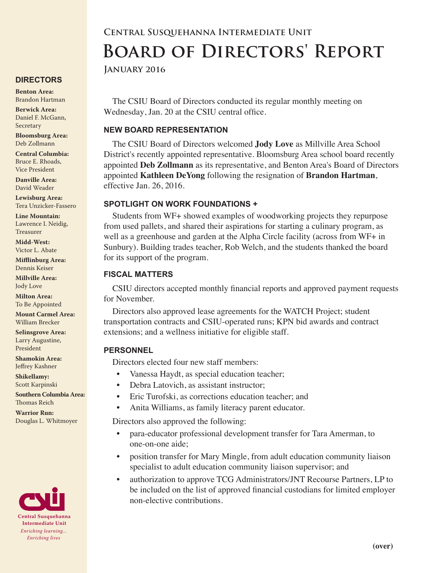#### **DIRECTORS**

**Benton Area:** Brandon Hartman

**Berwick Area:** Daniel F. McGann, Secretary

**Bloomsburg Area:**  Deb Zollmann

**Central Columbia:** Bruce E. Rhoads, Vice President

**Danville Area:** David Weader

**Lewisburg Area:** Tera Unzicker-Fassero

**Line Mountain:** Lawrence I. Neidig, Treasurer

**Midd-West:**  Victor L. Abate

**Mifflinburg Area:** Dennis Keiser

**Millville Area:** Jody Love

**Milton Area:** To Be Appointed

**Mount Carmel Area:**  William Brecker

**Selinsgrove Area:**  Larry Augustine, President

**Shamokin Area:** Jeffrey Kashner

**Shikellamy:**  Scott Karpinski

**Southern Columbia Area:** Thomas Reich

**Warrior Run:** Douglas L. Whitmoyer



# **Central Susquehanna Intermediate Unit Board of Directors' Report**

**January 2016**

The CSIU Board of Directors conducted its regular monthly meeting on Wednesday, Jan. 20 at the CSIU central office.

## **NEW BOARD REPRESENTATION**

The CSIU Board of Directors welcomed **Jody Love** as Millville Area School District's recently appointed representative. Bloomsburg Area school board recently appointed **Deb Zollmann** as its representative, and Benton Area's Board of Directors appointed **Kathleen DeYong** following the resignation of **Brandon Hartman**, effective Jan. 26, 2016.

## **SPOTLIGHT ON WORK FOUNDATIONS +**

Students from WF+ showed examples of woodworking projects they repurpose from used pallets, and shared their aspirations for starting a culinary program, as well as a greenhouse and garden at the Alpha Circle facility (across from WF+ in Sunbury). Building trades teacher, Rob Welch, and the students thanked the board for its support of the program.

## **FISCAL MATTERS**

CSIU directors accepted monthly financial reports and approved payment requests for November.

Directors also approved lease agreements for the WATCH Project; student transportation contracts and CSIU-operated runs; KPN bid awards and contract extensions; and a wellness initiative for eligible staff.

#### **PERSONNEL**

Directors elected four new staff members:

- Vanessa Haydt, as special education teacher;
- Debra Latovich, as assistant instructor;
- Eric Turofski, as corrections education teacher; and
- Anita Williams, as family literacy parent educator.

Directors also approved the following:

- para-educator professional development transfer for Tara Amerman, to one-on-one aide;
- position transfer for Mary Mingle, from adult education community liaison specialist to adult education community liaison supervisor; and
- authorization to approve TCG Administrators/JNT Recourse Partners, LP to be included on the list of approved financial custodians for limited employer non-elective contributions.